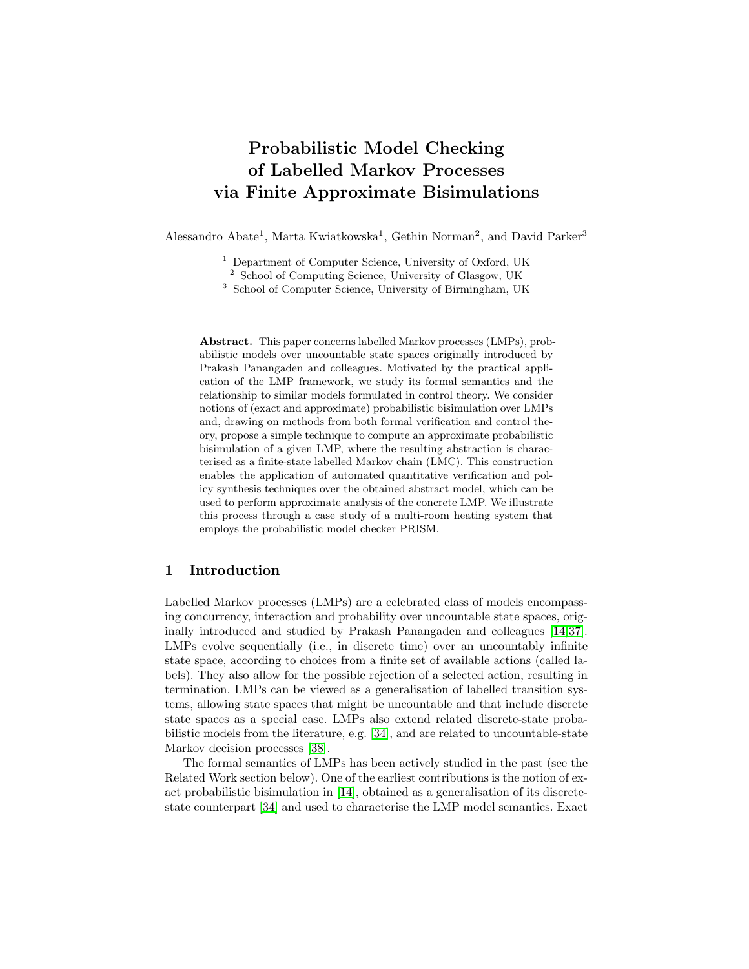# Probabilistic Model Checking of Labelled Markov Processes via Finite Approximate Bisimulations

Alessandro Abate<sup>1</sup>, Marta Kwiatkowska<sup>1</sup>, Gethin Norman<sup>2</sup>, and David Parker<sup>3</sup>

<sup>1</sup> Department of Computer Science, University of Oxford, UK

<sup>2</sup> School of Computing Science, University of Glasgow, UK

<sup>3</sup> School of Computer Science, University of Birmingham, UK

Abstract. This paper concerns labelled Markov processes (LMPs), probabilistic models over uncountable state spaces originally introduced by Prakash Panangaden and colleagues. Motivated by the practical application of the LMP framework, we study its formal semantics and the relationship to similar models formulated in control theory. We consider notions of (exact and approximate) probabilistic bisimulation over LMPs and, drawing on methods from both formal verification and control theory, propose a simple technique to compute an approximate probabilistic bisimulation of a given LMP, where the resulting abstraction is characterised as a finite-state labelled Markov chain (LMC). This construction enables the application of automated quantitative verification and policy synthesis techniques over the obtained abstract model, which can be used to perform approximate analysis of the concrete LMP. We illustrate this process through a case study of a multi-room heating system that employs the probabilistic model checker PRISM.

## 1 Introduction

Labelled Markov processes (LMPs) are a celebrated class of models encompassing concurrency, interaction and probability over uncountable state spaces, originally introduced and studied by Prakash Panangaden and colleagues [\[14,](#page-17-0)[37\]](#page-18-0). LMPs evolve sequentially (i.e., in discrete time) over an uncountably infinite state space, according to choices from a finite set of available actions (called labels). They also allow for the possible rejection of a selected action, resulting in termination. LMPs can be viewed as a generalisation of labelled transition systems, allowing state spaces that might be uncountable and that include discrete state spaces as a special case. LMPs also extend related discrete-state probabilistic models from the literature, e.g. [\[34\]](#page-18-1), and are related to uncountable-state Markov decision processes [\[38\]](#page-18-2).

The formal semantics of LMPs has been actively studied in the past (see the Related Work section below). One of the earliest contributions is the notion of exact probabilistic bisimulation in [\[14\]](#page-17-0), obtained as a generalisation of its discretestate counterpart [\[34\]](#page-18-1) and used to characterise the LMP model semantics. Exact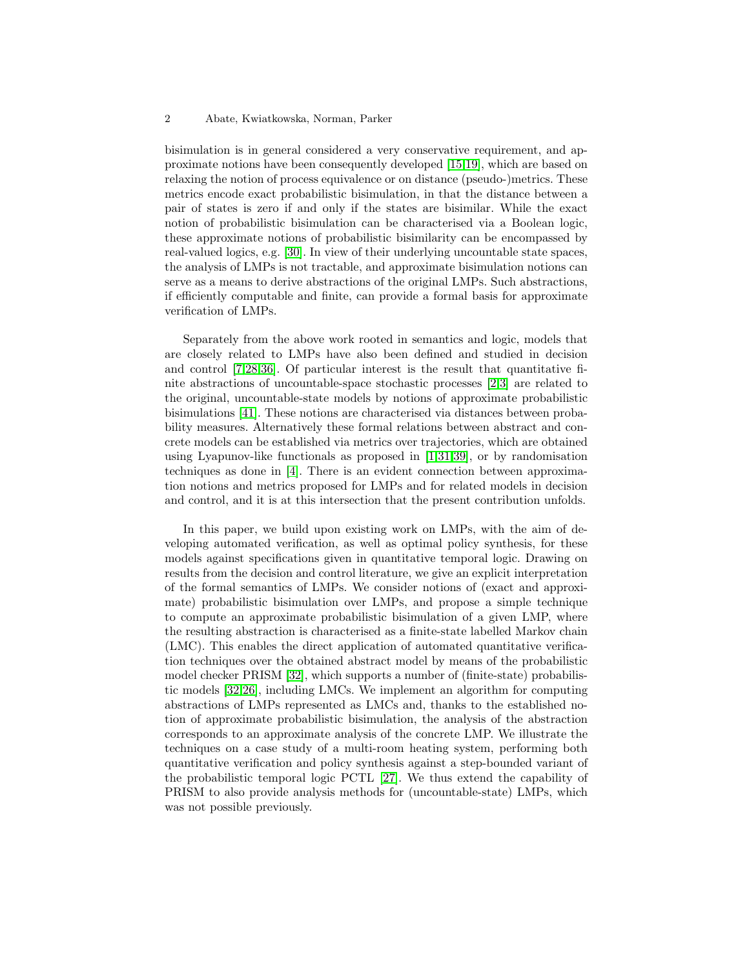bisimulation is in general considered a very conservative requirement, and approximate notions have been consequently developed [\[15,](#page-17-1)[19\]](#page-17-2), which are based on relaxing the notion of process equivalence or on distance (pseudo-)metrics. These metrics encode exact probabilistic bisimulation, in that the distance between a pair of states is zero if and only if the states are bisimilar. While the exact notion of probabilistic bisimulation can be characterised via a Boolean logic, these approximate notions of probabilistic bisimilarity can be encompassed by real-valued logics, e.g. [\[30\]](#page-18-3). In view of their underlying uncountable state spaces, the analysis of LMPs is not tractable, and approximate bisimulation notions can serve as a means to derive abstractions of the original LMPs. Such abstractions, if efficiently computable and finite, can provide a formal basis for approximate verification of LMPs.

Separately from the above work rooted in semantics and logic, models that are closely related to LMPs have also been defined and studied in decision and control [\[7,](#page-16-0)[28,](#page-18-4)[36\]](#page-18-5). Of particular interest is the result that quantitative finite abstractions of uncountable-space stochastic processes [\[2,](#page-16-1)[3\]](#page-16-2) are related to the original, uncountable-state models by notions of approximate probabilistic bisimulations [\[41\]](#page-18-6). These notions are characterised via distances between probability measures. Alternatively these formal relations between abstract and concrete models can be established via metrics over trajectories, which are obtained using Lyapunov-like functionals as proposed in [\[1](#page-16-3)[,31,](#page-18-7)[39\]](#page-18-8), or by randomisation techniques as done in [\[4\]](#page-16-4). There is an evident connection between approximation notions and metrics proposed for LMPs and for related models in decision and control, and it is at this intersection that the present contribution unfolds.

In this paper, we build upon existing work on LMPs, with the aim of developing automated verification, as well as optimal policy synthesis, for these models against specifications given in quantitative temporal logic. Drawing on results from the decision and control literature, we give an explicit interpretation of the formal semantics of LMPs. We consider notions of (exact and approximate) probabilistic bisimulation over LMPs, and propose a simple technique to compute an approximate probabilistic bisimulation of a given LMP, where the resulting abstraction is characterised as a finite-state labelled Markov chain (LMC). This enables the direct application of automated quantitative verification techniques over the obtained abstract model by means of the probabilistic model checker PRISM [\[32\]](#page-18-9), which supports a number of (finite-state) probabilistic models [\[32](#page-18-9)[,26\]](#page-17-3), including LMCs. We implement an algorithm for computing abstractions of LMPs represented as LMCs and, thanks to the established notion of approximate probabilistic bisimulation, the analysis of the abstraction corresponds to an approximate analysis of the concrete LMP. We illustrate the techniques on a case study of a multi-room heating system, performing both quantitative verification and policy synthesis against a step-bounded variant of the probabilistic temporal logic PCTL [\[27\]](#page-18-10). We thus extend the capability of PRISM to also provide analysis methods for (uncountable-state) LMPs, which was not possible previously.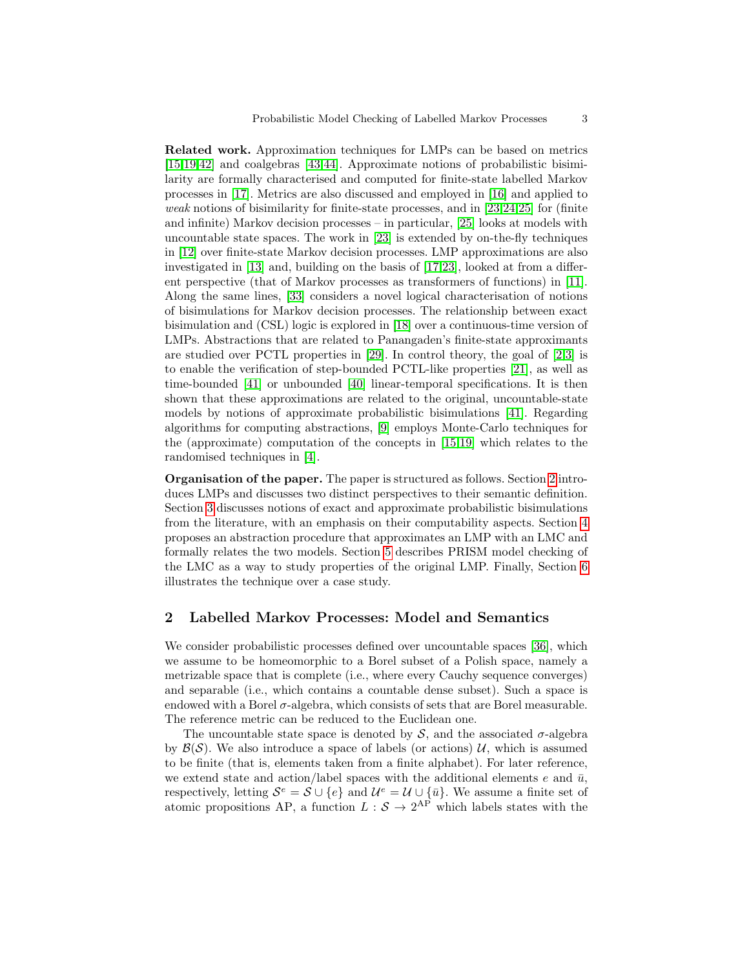Related work. Approximation techniques for LMPs can be based on metrics [\[15](#page-17-1)[,19](#page-17-2)[,42\]](#page-18-11) and coalgebras [\[43,](#page-18-12)[44\]](#page-18-13). Approximate notions of probabilistic bisimilarity are formally characterised and computed for finite-state labelled Markov processes in [\[17\]](#page-17-4). Metrics are also discussed and employed in [\[16\]](#page-17-5) and applied to weak notions of bisimilarity for finite-state processes, and in [\[23,](#page-17-6)[24,](#page-17-7)[25\]](#page-17-8) for (finite and infinite) Markov decision processes – in particular, [\[25\]](#page-17-8) looks at models with uncountable state spaces. The work in [\[23\]](#page-17-6) is extended by on-the-fly techniques in [\[12\]](#page-17-9) over finite-state Markov decision processes. LMP approximations are also investigated in [\[13\]](#page-17-10) and, building on the basis of [\[17,](#page-17-4)[23\]](#page-17-6), looked at from a different perspective (that of Markov processes as transformers of functions) in [\[11\]](#page-17-11). Along the same lines, [\[33\]](#page-18-14) considers a novel logical characterisation of notions of bisimulations for Markov decision processes. The relationship between exact bisimulation and (CSL) logic is explored in [\[18\]](#page-17-12) over a continuous-time version of LMPs. Abstractions that are related to Panangaden's finite-state approximants are studied over PCTL properties in [\[29\]](#page-18-15). In control theory, the goal of [\[2,](#page-16-1)[3\]](#page-16-2) is to enable the verification of step-bounded PCTL-like properties [\[21\]](#page-17-13), as well as time-bounded [\[41\]](#page-18-6) or unbounded [\[40\]](#page-18-16) linear-temporal specifications. It is then shown that these approximations are related to the original, uncountable-state models by notions of approximate probabilistic bisimulations [\[41\]](#page-18-6). Regarding algorithms for computing abstractions, [\[9\]](#page-17-14) employs Monte-Carlo techniques for the (approximate) computation of the concepts in [\[15,](#page-17-1)[19\]](#page-17-2) which relates to the randomised techniques in [\[4\]](#page-16-4).

Organisation of the paper. The paper is structured as follows. Section [2](#page-2-0) introduces LMPs and discusses two distinct perspectives to their semantic definition. Section [3](#page-6-0) discusses notions of exact and approximate probabilistic bisimulations from the literature, with an emphasis on their computability aspects. Section [4](#page-9-0) proposes an abstraction procedure that approximates an LMP with an LMC and formally relates the two models. Section [5](#page-11-0) describes PRISM model checking of the LMC as a way to study properties of the original LMP. Finally, Section [6](#page-13-0) illustrates the technique over a case study.

# <span id="page-2-0"></span>2 Labelled Markov Processes: Model and Semantics

We consider probabilistic processes defined over uncountable spaces [\[36\]](#page-18-5), which we assume to be homeomorphic to a Borel subset of a Polish space, namely a metrizable space that is complete (i.e., where every Cauchy sequence converges) and separable (i.e., which contains a countable dense subset). Such a space is endowed with a Borel  $\sigma$ -algebra, which consists of sets that are Borel measurable. The reference metric can be reduced to the Euclidean one.

The uncountable state space is denoted by  $S$ , and the associated  $\sigma$ -algebra by  $\mathcal{B}(\mathcal{S})$ . We also introduce a space of labels (or actions) U, which is assumed to be finite (that is, elements taken from a finite alphabet). For later reference, we extend state and action/label spaces with the additional elements e and  $\bar{u}$ , respectively, letting  $S^e = S \cup \{e\}$  and  $\mathcal{U}^e = \mathcal{U} \cup \{\bar{u}\}\$ . We assume a finite set of atomic propositions AP, a function  $L : S \to 2^{\text{AP}}$  which labels states with the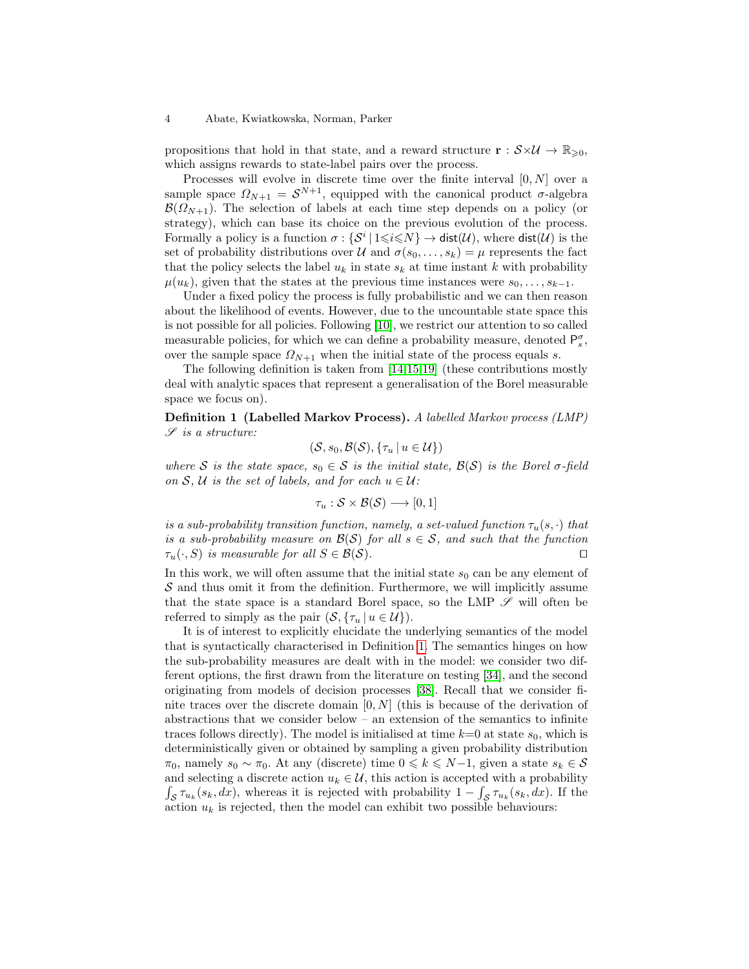propositions that hold in that state, and a reward structure  $\mathbf{r} : S \times U \to \mathbb{R}_{\geq 0}$ , which assigns rewards to state-label pairs over the process.

Processes will evolve in discrete time over the finite interval  $[0, N]$  over a sample space  $\Omega_{N+1} = S^{N+1}$ , equipped with the canonical product  $\sigma$ -algebra  $\mathcal{B}(\Omega_{N+1})$ . The selection of labels at each time step depends on a policy (or strategy), which can base its choice on the previous evolution of the process. Formally a policy is a function  $\sigma: \{S^i | 1 \leq i \leq N\} \to \text{dist}(\mathcal{U})$ , where  $\text{dist}(\mathcal{U})$  is the set of probability distributions over  $\mathcal U$  and  $\sigma(s_0, \ldots, s_k) = \mu$  represents the fact that the policy selects the label  $u_k$  in state  $s_k$  at time instant k with probability  $\mu(u_k)$ , given that the states at the previous time instances were  $s_0, \ldots, s_{k-1}$ .

Under a fixed policy the process is fully probabilistic and we can then reason about the likelihood of events. However, due to the uncountable state space this is not possible for all policies. Following [\[10\]](#page-17-15), we restrict our attention to so called measurable policies, for which we can define a probability measure, denoted  $\mathsf{P}_s^\sigma,$ over the sample space  $\Omega_{N+1}$  when the initial state of the process equals s.

The following definition is taken from [\[14,](#page-17-0)[15,](#page-17-1)[19\]](#page-17-2) (these contributions mostly deal with analytic spaces that represent a generalisation of the Borel measurable space we focus on).

Definition 1 (Labelled Markov Process). A labelled Markov process (LMP)  $\mathscr{S}$  is a structure:

<span id="page-3-0"></span>
$$
(\mathcal{S}, s_0, \mathcal{B}(\mathcal{S}), \{\tau_u \,|\, u \in \mathcal{U}\})
$$

where S is the state space,  $s_0 \in S$  is the initial state,  $\mathcal{B}(S)$  is the Borel  $\sigma$ -field on S, U is the set of labels, and for each  $u \in \mathcal{U}$ :

$$
\tau_u: \mathcal{S} \times \mathcal{B}(\mathcal{S}) \longrightarrow [0,1]
$$

is a sub-probability transition function, namely, a set-valued function  $\tau_u(s, \cdot)$  that is a sub-probability measure on  $\mathcal{B}(\mathcal{S})$  for all  $s \in \mathcal{S}$ , and such that the function  $\tau_u(\cdot, S)$  is measurable for all  $S \in \mathcal{B}(\mathcal{S})$ .

In this work, we will often assume that the initial state  $s_0$  can be any element of  $\mathcal S$  and thus omit it from the definition. Furthermore, we will implicitly assume that the state space is a standard Borel space, so the LMP  $\mathscr S$  will often be referred to simply as the pair  $(S, \{\tau_u | u \in \mathcal{U}\})$ .

It is of interest to explicitly elucidate the underlying semantics of the model that is syntactically characterised in Definition [1.](#page-3-0) The semantics hinges on how the sub-probability measures are dealt with in the model: we consider two different options, the first drawn from the literature on testing [\[34\]](#page-18-1), and the second originating from models of decision processes [\[38\]](#page-18-2). Recall that we consider finite traces over the discrete domain  $[0, N]$  (this is because of the derivation of abstractions that we consider below – an extension of the semantics to infinite traces follows directly). The model is initialised at time  $k=0$  at state  $s_0$ , which is deterministically given or obtained by sampling a given probability distribution  $\pi_0$ , namely  $s_0 \sim \pi_0$ . At any (discrete) time  $0 \leq k \leq N-1$ , given a state  $s_k \in \mathcal{S}$ and selecting a discrete action  $u_k \in \mathcal{U}$ , this action is accepted with a probability  $\int_{\mathcal{S}} \tau_{u_k}(s_k, dx)$ , whereas it is rejected with probability  $1 - \int_{\mathcal{S}} \tau_{u_k}(s_k, dx)$ . If the action  $u_k$  is rejected, then the model can exhibit two possible behaviours: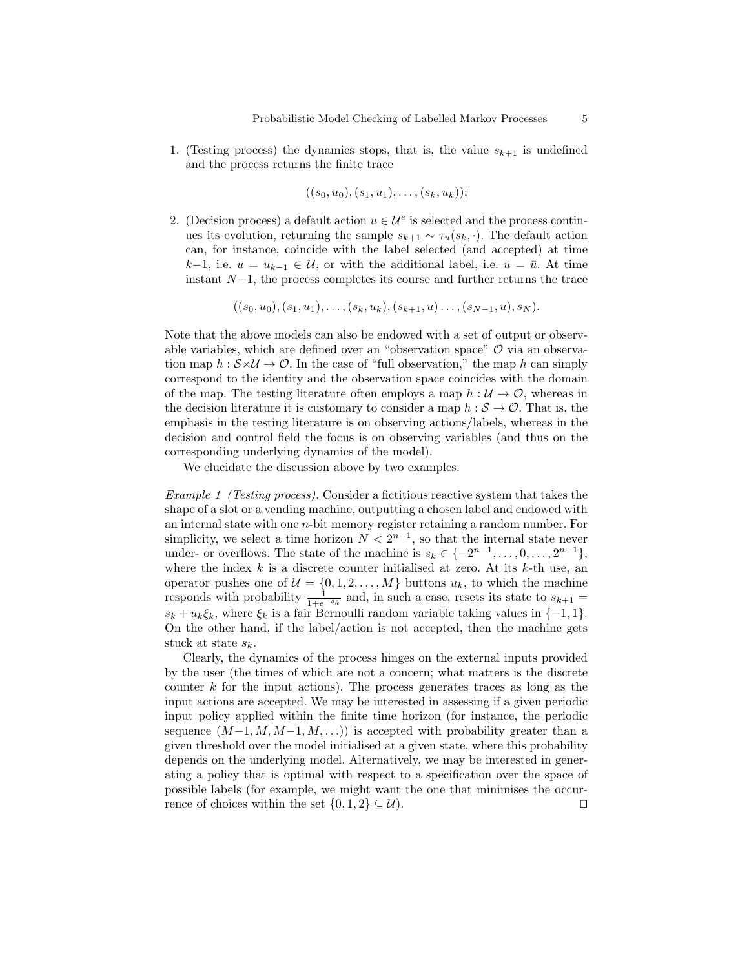1. (Testing process) the dynamics stops, that is, the value  $s_{k+1}$  is undefined and the process returns the finite trace

$$
((s_0,u_0),(s_1,u_1),\ldots,(s_k,u_k));
$$

2. (Decision process) a default action  $u \in \mathcal{U}^e$  is selected and the process continues its evolution, returning the sample  $s_{k+1} \sim \tau_u(s_k, \cdot)$ . The default action can, for instance, coincide with the label selected (and accepted) at time  $k-1$ , i.e.  $u = u_{k-1} \in \mathcal{U}$ , or with the additional label, i.e.  $u = \bar{u}$ . At time instant  $N-1$ , the process completes its course and further returns the trace

$$
((s_0,u_0), (s_1,u_1), \ldots, (s_k,u_k), (s_{k+1},u) \ldots, (s_{N-1},u), s_N).
$$

Note that the above models can also be endowed with a set of output or observable variables, which are defined over an "observation space"  $\mathcal O$  via an observation map  $h : S \times U \to \mathcal{O}$ . In the case of "full observation," the map h can simply correspond to the identity and the observation space coincides with the domain of the map. The testing literature often employs a map  $h: U \to \mathcal{O}$ , whereas in the decision literature it is customary to consider a map  $h : S \to \mathcal{O}$ . That is, the emphasis in the testing literature is on observing actions/labels, whereas in the decision and control field the focus is on observing variables (and thus on the corresponding underlying dynamics of the model).

We elucidate the discussion above by two examples.

Example 1 (Testing process). Consider a fictitious reactive system that takes the shape of a slot or a vending machine, outputting a chosen label and endowed with an internal state with one n-bit memory register retaining a random number. For simplicity, we select a time horizon  $N < 2^{n-1}$ , so that the internal state never under- or overflows. The state of the machine is  $s_k \in \{-2^{n-1}, \ldots, 0, \ldots, 2^{n-1}\},$ where the index k is a discrete counter initialised at zero. At its k-th use, an operator pushes one of  $\mathcal{U} = \{0, 1, 2, ..., M\}$  buttons  $u_k$ , to which the machine responds with probability  $\frac{1}{1+e^{-s_k}}$  and, in such a case, resets its state to  $s_{k+1}$  =  $s_k + u_k \xi_k$ , where  $\xi_k$  is a fair Bernoulli random variable taking values in  $\{-1, 1\}$ . On the other hand, if the label/action is not accepted, then the machine gets stuck at state  $s_k$ .

Clearly, the dynamics of the process hinges on the external inputs provided by the user (the times of which are not a concern; what matters is the discrete counter  $k$  for the input actions). The process generates traces as long as the input actions are accepted. We may be interested in assessing if a given periodic input policy applied within the finite time horizon (for instance, the periodic sequence  $(M-1, M, M-1, M, ...)$  is accepted with probability greater than a given threshold over the model initialised at a given state, where this probability depends on the underlying model. Alternatively, we may be interested in generating a policy that is optimal with respect to a specification over the space of possible labels (for example, we might want the one that minimises the occurrence of choices within the set  $\{0, 1, 2\} \subseteq \mathcal{U}$ .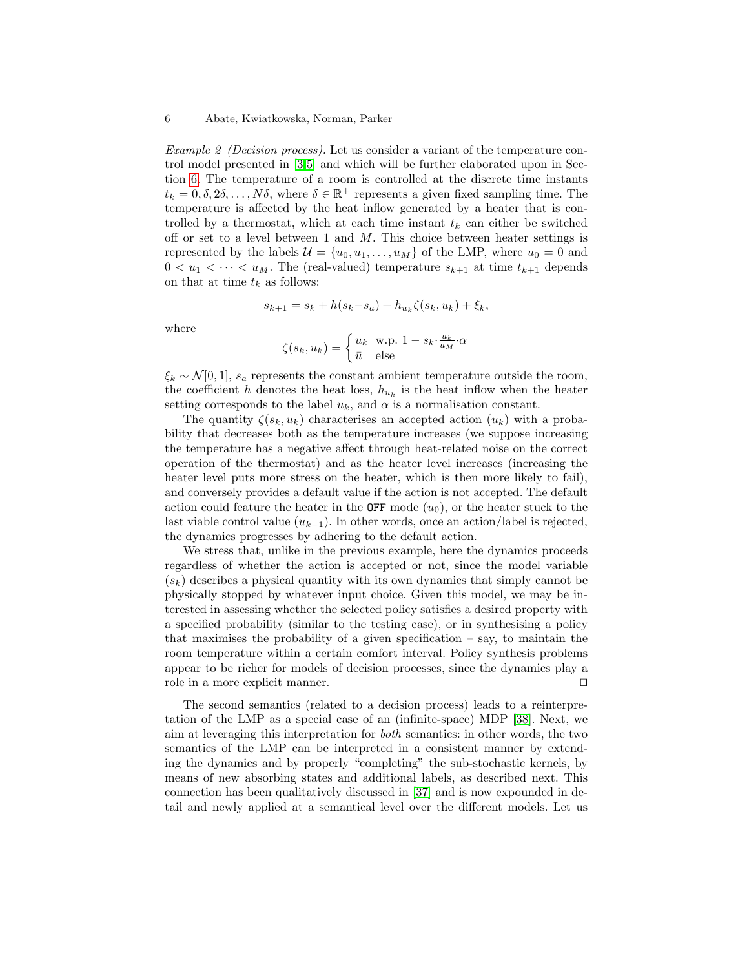Example 2 (Decision process). Let us consider a variant of the temperature control model presented in [\[3,](#page-16-2)[5\]](#page-16-5) and which will be further elaborated upon in Section [6.](#page-13-0) The temperature of a room is controlled at the discrete time instants  $t_k = 0, \delta, 2\delta, \ldots, N\delta$ , where  $\delta \in \mathbb{R}^+$  represents a given fixed sampling time. The temperature is affected by the heat inflow generated by a heater that is controlled by a thermostat, which at each time instant  $t_k$  can either be switched off or set to a level between 1 and  $M$ . This choice between heater settings is represented by the labels  $\mathcal{U} = \{u_0, u_1, \dots, u_M\}$  of the LMP, where  $u_0 = 0$  and  $0 < u_1 < \cdots < u_M$ . The (real-valued) temperature  $s_{k+1}$  at time  $t_{k+1}$  depends on that at time  $t_k$  as follows:

$$
s_{k+1} = s_k + h(s_k - s_a) + h_{u_k} \zeta(s_k, u_k) + \xi_k,
$$

where

$$
\zeta(s_k, u_k) = \begin{cases} u_k & \text{w.p. } 1 - s_k \cdot \frac{u_k}{u_M} \cdot \alpha \\ \bar{u} & \text{else} \end{cases}
$$

 $\xi_k \sim \mathcal{N}[0,1], s_a$  represents the constant ambient temperature outside the room, the coefficient h denotes the heat loss,  $h_{u_k}$  is the heat inflow when the heater setting corresponds to the label  $u_k$ , and  $\alpha$  is a normalisation constant.

The quantity  $\zeta(s_k, u_k)$  characterises an accepted action  $(u_k)$  with a probability that decreases both as the temperature increases (we suppose increasing the temperature has a negative affect through heat-related noise on the correct operation of the thermostat) and as the heater level increases (increasing the heater level puts more stress on the heater, which is then more likely to fail), and conversely provides a default value if the action is not accepted. The default action could feature the heater in the OFF mode  $(u_0)$ , or the heater stuck to the last viable control value  $(u_{k-1})$ . In other words, once an action/label is rejected, the dynamics progresses by adhering to the default action.

We stress that, unlike in the previous example, here the dynamics proceeds regardless of whether the action is accepted or not, since the model variable  $(s_k)$  describes a physical quantity with its own dynamics that simply cannot be physically stopped by whatever input choice. Given this model, we may be interested in assessing whether the selected policy satisfies a desired property with a specified probability (similar to the testing case), or in synthesising a policy that maximises the probability of a given specification  $-$  say, to maintain the room temperature within a certain comfort interval. Policy synthesis problems appear to be richer for models of decision processes, since the dynamics play a role in a more explicit manner.  $\Box$ 

The second semantics (related to a decision process) leads to a reinterpretation of the LMP as a special case of an (infinite-space) MDP [\[38\]](#page-18-2). Next, we aim at leveraging this interpretation for both semantics: in other words, the two semantics of the LMP can be interpreted in a consistent manner by extending the dynamics and by properly "completing" the sub-stochastic kernels, by means of new absorbing states and additional labels, as described next. This connection has been qualitatively discussed in [\[37\]](#page-18-0) and is now expounded in detail and newly applied at a semantical level over the different models. Let us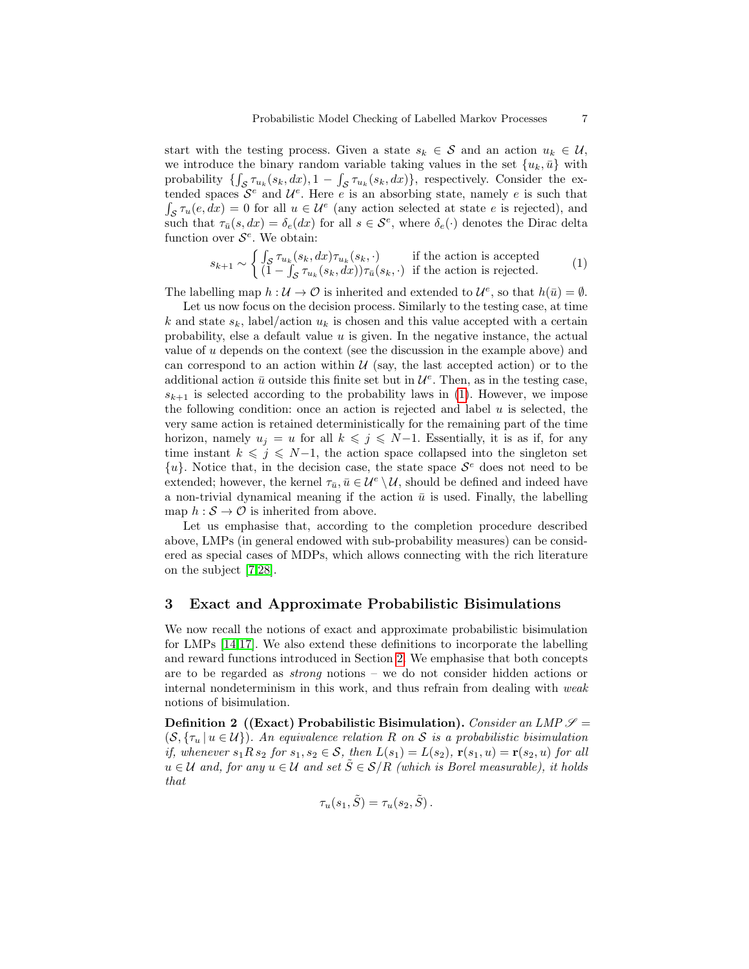start with the testing process. Given a state  $s_k \in \mathcal{S}$  and an action  $u_k \in \mathcal{U}$ , we introduce the binary random variable taking values in the set  $\{u_k, \bar{u}\}\$  with probability  $\{\int_{\mathcal{S}} \tau_{u_k}(s_k, dx), 1 - \int_{\mathcal{S}} \tau_{u_k}(s_k, dx)\},$  respectively. Consider the extended spaces  $S^e$  and  $\mathcal{U}^e$ . Here e is an absorbing state, namely e is such that  $\int_{\mathcal{S}} \tau_u(e, dx) = 0$  for all  $u \in \mathcal{U}^e$  (any action selected at state e is rejected), and such that  $\tau_{\bar{u}}(s, dx) = \delta_e(dx)$  for all  $s \in \mathcal{S}^e$ , where  $\delta_e(\cdot)$  denotes the Dirac delta function over  $S^e$ . We obtain:

<span id="page-6-1"></span>
$$
s_{k+1} \sim \begin{cases} \int_{\mathcal{S}} \tau_{u_k}(s_k, dx) \tau_{u_k}(s_k, \cdot) & \text{if the action is accepted} \\ (1 - \int_{\mathcal{S}} \tau_{u_k}(s_k, dx)) \tau_{\bar{u}}(s_k, \cdot) & \text{if the action is rejected.} \end{cases}
$$
 (1)

The labelling map  $h: U \to \mathcal{O}$  is inherited and extended to  $\mathcal{U}^e$ , so that  $h(\bar{u}) = \emptyset$ .

Let us now focus on the decision process. Similarly to the testing case, at time k and state  $s_k$ , label/action  $u_k$  is chosen and this value accepted with a certain probability, else a default value  $u$  is given. In the negative instance, the actual value of u depends on the context (see the discussion in the example above) and can correspond to an action within  $\mathcal U$  (say, the last accepted action) or to the additional action  $\bar{u}$  outside this finite set but in  $\mathcal{U}^e$ . Then, as in the testing case,  $s_{k+1}$  is selected according to the probability laws in [\(1\)](#page-6-1). However, we impose the following condition: once an action is rejected and label  $u$  is selected, the very same action is retained deterministically for the remaining part of the time horizon, namely  $u_j = u$  for all  $k \leq j \leq N-1$ . Essentially, it is as if, for any time instant  $k \leq j \leq N-1$ , the action space collapsed into the singleton set  ${u}$ . Notice that, in the decision case, the state space  $\mathcal{S}^e$  does not need to be extended; however, the kernel  $\tau_{\bar{u}}, \bar{u} \in \mathcal{U}^e \setminus \mathcal{U}$ , should be defined and indeed have a non-trivial dynamical meaning if the action  $\bar{u}$  is used. Finally, the labelling map  $h : \mathcal{S} \to \mathcal{O}$  is inherited from above.

Let us emphasise that, according to the completion procedure described above, LMPs (in general endowed with sub-probability measures) can be considered as special cases of MDPs, which allows connecting with the rich literature on the subject [\[7,](#page-16-0)[28\]](#page-18-4).

## <span id="page-6-0"></span>3 Exact and Approximate Probabilistic Bisimulations

We now recall the notions of exact and approximate probabilistic bisimulation for LMPs [\[14,](#page-17-0)[17\]](#page-17-4). We also extend these definitions to incorporate the labelling and reward functions introduced in Section [2.](#page-2-0) We emphasise that both concepts are to be regarded as strong notions – we do not consider hidden actions or internal nondeterminism in this work, and thus refrain from dealing with weak notions of bisimulation.

<span id="page-6-2"></span>Definition 2 ((Exact) Probabilistic Bisimulation). Consider an LMP  $\mathscr{S} =$  $(S, {\tau_u | u \in \mathcal{U}})$ . An equivalence relation R on S is a probabilistic bisimulation if, whenever  $s_1R s_2$  for  $s_1, s_2 \in \mathcal{S}$ , then  $L(s_1) = L(s_2)$ ,  $\mathbf{r}(s_1, u) = \mathbf{r}(s_2, u)$  for all  $u \in \mathcal{U}$  and, for any  $u \in \mathcal{U}$  and set  $\tilde{S} \in \mathcal{S}/R$  (which is Borel measurable), it holds that

$$
\tau_u(s_1, \tilde{S}) = \tau_u(s_2, \tilde{S}).
$$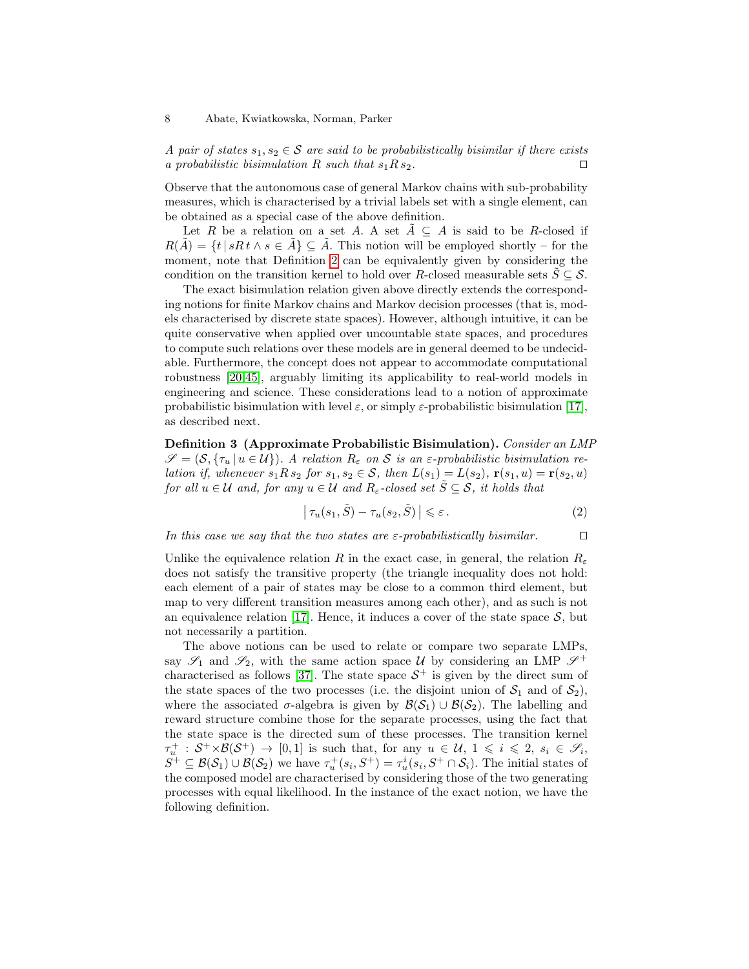A pair of states  $s_1, s_2 \in \mathcal{S}$  are said to be probabilistically bisimilar if there exists a probabilistic bisimulation R such that  $s_1R s_2$ .

Observe that the autonomous case of general Markov chains with sub-probability measures, which is characterised by a trivial labels set with a single element, can be obtained as a special case of the above definition.

Let R be a relation on a set A. A set  $\tilde{A} \subseteq A$  is said to be R-closed if  $R(A) = \{t | sR t \wedge s \in \overline{A}\}\subseteq \overline{A}$ . This notion will be employed shortly – for the moment, note that Definition [2](#page-6-2) can be equivalently given by considering the condition on the transition kernel to hold over R-closed measurable sets  $S \subseteq \mathcal{S}$ .

The exact bisimulation relation given above directly extends the corresponding notions for finite Markov chains and Markov decision processes (that is, models characterised by discrete state spaces). However, although intuitive, it can be quite conservative when applied over uncountable state spaces, and procedures to compute such relations over these models are in general deemed to be undecidable. Furthermore, the concept does not appear to accommodate computational robustness [\[20,](#page-17-16)[45\]](#page-18-17), arguably limiting its applicability to real-world models in engineering and science. These considerations lead to a notion of approximate probabilistic bisimulation with level  $\varepsilon$ , or simply  $\varepsilon$ -probabilistic bisimulation [\[17\]](#page-17-4), as described next.

<span id="page-7-1"></span>Definition 3 (Approximate Probabilistic Bisimulation). Consider an LMP  $\mathscr{S} = (\mathcal{S}, {\tau_u | u \in \mathcal{U}})$ . A relation  $R_{\varepsilon}$  on S is an  $\varepsilon$ -probabilistic bisimulation relation if, whenever  $s_1R s_2$  for  $s_1, s_2 \in S$ , then  $L(s_1) = L(s_2)$ ,  $\mathbf{r}(s_1, u) = \mathbf{r}(s_2, u)$ for all  $u \in \mathcal{U}$  and, for any  $u \in \mathcal{U}$  and  $R_{\varepsilon}$ -closed set  $S \subseteq \mathcal{S}$ , it holds that

<span id="page-7-0"></span>
$$
|\tau_u(s_1, \tilde{S}) - \tau_u(s_2, \tilde{S})| \le \varepsilon.
$$
 (2)

In this case we say that the two states are  $\varepsilon$ -probabilistically bisimilar.

Unlike the equivalence relation R in the exact case, in general, the relation  $R_{\varepsilon}$ does not satisfy the transitive property (the triangle inequality does not hold: each element of a pair of states may be close to a common third element, but map to very different transition measures among each other), and as such is not an equivalence relation [\[17\]](#page-17-4). Hence, it induces a cover of the state space  $S$ , but not necessarily a partition.

<span id="page-7-2"></span>The above notions can be used to relate or compare two separate LMPs, say  $\mathscr{S}_1$  and  $\mathscr{S}_2$ , with the same action space U by considering an LMP  $\mathscr{S}^+$ characterised as follows [\[37\]](#page-18-0). The state space  $S^+$  is given by the direct sum of the state spaces of the two processes (i.e. the disjoint union of  $S_1$  and of  $S_2$ ), where the associated  $\sigma$ -algebra is given by  $\mathcal{B}(\mathcal{S}_1) \cup \mathcal{B}(\mathcal{S}_2)$ . The labelling and reward structure combine those for the separate processes, using the fact that the state space is the directed sum of these processes. The transition kernel  $\tau_u^+ : S^+ \times \mathcal{B}(S^+) \to [0,1]$  is such that, for any  $u \in \mathcal{U}, 1 \leqslant i \leqslant 2, s_i \in \mathscr{S}_i$ ,  $S^+ \subseteq \mathcal{B}(\mathcal{S}_1) \cup \mathcal{B}(\mathcal{S}_2)$  we have  $\tau_u^+(s_i, S^+) = \tau_u^i(s_i, S^+ \cap \mathcal{S}_i)$ . The initial states of the composed model are characterised by considering those of the two generating processes with equal likelihood. In the instance of the exact notion, we have the following definition.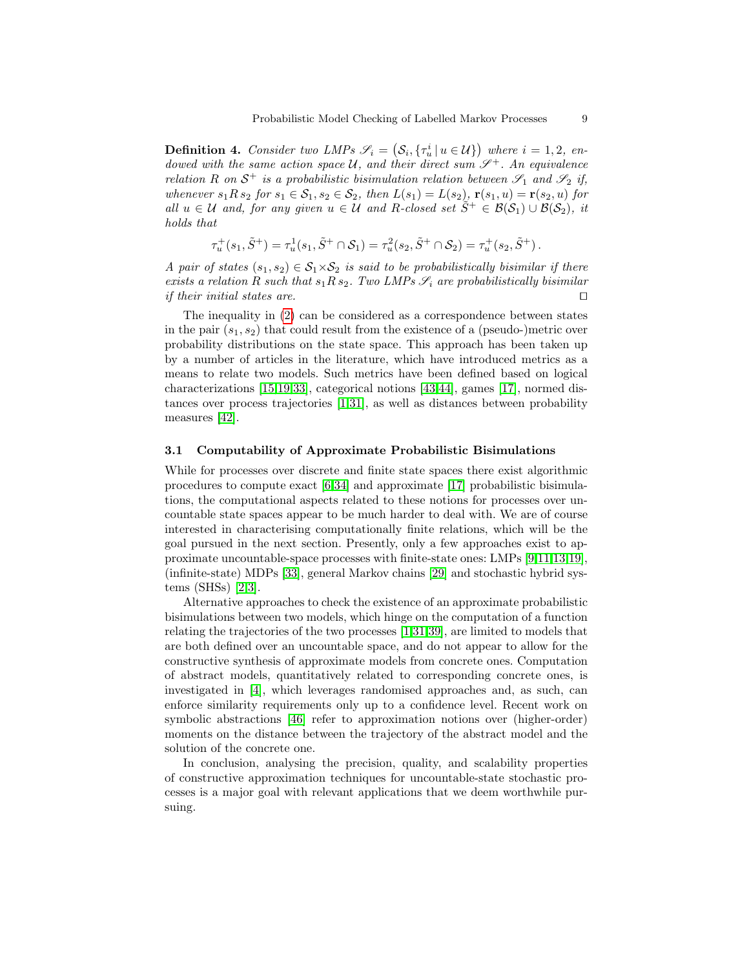**Definition 4.** Consider two LMPs  $\mathscr{S}_i = (\mathcal{S}_i, {\tau_u^i | u \in \mathcal{U}})$  where  $i = 1, 2, en$ dowed with the same action space  $U$ , and their direct sum  $\mathscr{S}^+$ . An equivalence relation R on  $S^+$  is a probabilistic bisimulation relation between  $\mathscr{S}_1$  and  $\mathscr{S}_2$  if, whenever  $s_1 R s_2$  for  $s_1 \in S_1$ ,  $s_2 \in S_2$ , then  $L(s_1) = L(s_2)$ ,  $\mathbf{r}(s_1, u) = \mathbf{r}(s_2, u)$  for all  $u \in \mathcal{U}$  and, for any given  $u \in \mathcal{U}$  and R-closed set  $\tilde{S}^+ \in \mathcal{B}(\mathcal{S}_1) \cup \mathcal{B}(\mathcal{S}_2)$ , it holds that

$$
\tau_u^+(s_1, \tilde{S}^+) = \tau_u^1(s_1, \tilde{S}^+ \cap \mathcal{S}_1) = \tau_u^2(s_2, \tilde{S}^+ \cap \mathcal{S}_2) = \tau_u^+(s_2, \tilde{S}^+).
$$

A pair of states  $(s_1, s_2) \in S_1 \times S_2$  is said to be probabilistically bisimilar if there exists a relation R such that  $s_1R s_2$ . Two LMPs  $\mathscr{S}_i$  are probabilistically bisimilar if their initial states are.  $\Box$ 

The inequality in [\(2\)](#page-7-0) can be considered as a correspondence between states in the pair  $(s_1, s_2)$  that could result from the existence of a (pseudo-)metric over probability distributions on the state space. This approach has been taken up by a number of articles in the literature, which have introduced metrics as a means to relate two models. Such metrics have been defined based on logical characterizations [\[15](#page-17-1)[,19,](#page-17-2)[33\]](#page-18-14), categorical notions [\[43,](#page-18-12)[44\]](#page-18-13), games [\[17\]](#page-17-4), normed distances over process trajectories [\[1,](#page-16-3)[31\]](#page-18-7), as well as distances between probability measures [\[42\]](#page-18-11).

### 3.1 Computability of Approximate Probabilistic Bisimulations

While for processes over discrete and finite state spaces there exist algorithmic procedures to compute exact [\[6,](#page-16-6)[34\]](#page-18-1) and approximate [\[17\]](#page-17-4) probabilistic bisimulations, the computational aspects related to these notions for processes over uncountable state spaces appear to be much harder to deal with. We are of course interested in characterising computationally finite relations, which will be the goal pursued in the next section. Presently, only a few approaches exist to approximate uncountable-space processes with finite-state ones: LMPs [\[9,](#page-17-14)[11,](#page-17-11)[13,](#page-17-10)[19\]](#page-17-2), (infinite-state) MDPs [\[33\]](#page-18-14), general Markov chains [\[29\]](#page-18-15) and stochastic hybrid systems (SHSs) [\[2,](#page-16-1)[3\]](#page-16-2).

Alternative approaches to check the existence of an approximate probabilistic bisimulations between two models, which hinge on the computation of a function relating the trajectories of the two processes [\[1,](#page-16-3)[31,](#page-18-7)[39\]](#page-18-8), are limited to models that are both defined over an uncountable space, and do not appear to allow for the constructive synthesis of approximate models from concrete ones. Computation of abstract models, quantitatively related to corresponding concrete ones, is investigated in [\[4\]](#page-16-4), which leverages randomised approaches and, as such, can enforce similarity requirements only up to a confidence level. Recent work on symbolic abstractions [\[46\]](#page-18-18) refer to approximation notions over (higher-order) moments on the distance between the trajectory of the abstract model and the solution of the concrete one.

In conclusion, analysing the precision, quality, and scalability properties of constructive approximation techniques for uncountable-state stochastic processes is a major goal with relevant applications that we deem worthwhile pursuing.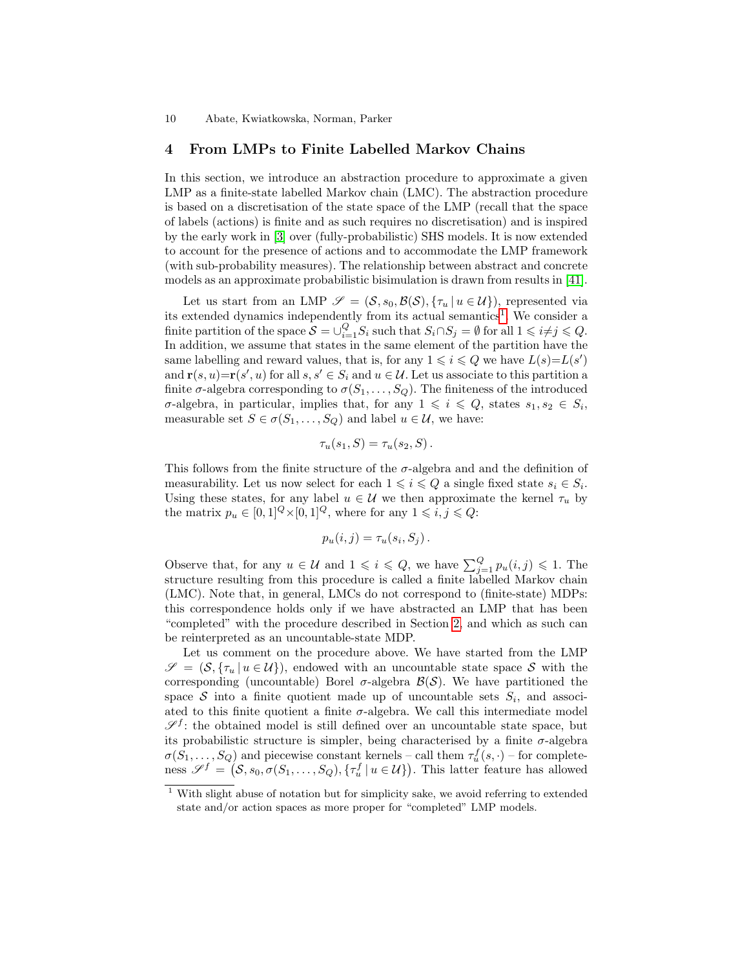## <span id="page-9-0"></span>4 From LMPs to Finite Labelled Markov Chains

In this section, we introduce an abstraction procedure to approximate a given LMP as a finite-state labelled Markov chain (LMC). The abstraction procedure is based on a discretisation of the state space of the LMP (recall that the space of labels (actions) is finite and as such requires no discretisation) and is inspired by the early work in [\[3\]](#page-16-2) over (fully-probabilistic) SHS models. It is now extended to account for the presence of actions and to accommodate the LMP framework (with sub-probability measures). The relationship between abstract and concrete models as an approximate probabilistic bisimulation is drawn from results in [\[41\]](#page-18-6).

Let us start from an LMP  $\mathscr{S} = (\mathcal{S}, s_0, \mathcal{B}(\mathcal{S}), {\tau_u | u \in \mathcal{U}})$ , represented via its extended dynamics independently from its actual semantics<sup>[1](#page-9-1)</sup>. We consider a finite partition of the space  $S = \bigcup_{i=1}^{Q} S_i$  such that  $S_i \cap S_j = \emptyset$  for all  $1 \leq i \neq j \leq Q$ . In addition, we assume that states in the same element of the partition have the same labelling and reward values, that is, for any  $1 \leq i \leq Q$  we have  $L(s)=L(s')$ and  $\mathbf{r}(s, u) = \mathbf{r}(s', u)$  for all  $s, s' \in S_i$  and  $u \in \mathcal{U}$ . Let us associate to this partition a finite  $\sigma$ -algebra corresponding to  $\sigma(S_1, \ldots, S_Q)$ . The finiteness of the introduced  $\sigma$ -algebra, in particular, implies that, for any  $1 \leq i \leq Q$ , states  $s_1, s_2 \in S_i$ , measurable set  $S \in \sigma(S_1, \ldots, S_{\Omega})$  and label  $u \in \mathcal{U}$ , we have:

$$
\tau_u(s_1, S) = \tau_u(s_2, S).
$$

This follows from the finite structure of the  $\sigma$ -algebra and and the definition of measurability. Let us now select for each  $1 \leq i \leq Q$  a single fixed state  $s_i \in S_i$ . Using these states, for any label  $u \in \mathcal{U}$  we then approximate the kernel  $\tau_u$  by the matrix  $p_u \in [0, 1]^Q \times [0, 1]^Q$ , where for any  $1 \leq i, j \leq Q$ :

$$
p_u(i,j) = \tau_u(s_i, S_j).
$$

Observe that, for any  $u \in \mathcal{U}$  and  $1 \leqslant i \leqslant Q$ , we have  $\sum_{j=1}^{Q} p_u(i,j) \leqslant 1$ . The structure resulting from this procedure is called a finite labelled Markov chain (LMC). Note that, in general, LMCs do not correspond to (finite-state) MDPs: this correspondence holds only if we have abstracted an LMP that has been "completed" with the procedure described in Section [2,](#page-2-0) and which as such can be reinterpreted as an uncountable-state MDP.

Let us comment on the procedure above. We have started from the LMP  $\mathscr{S} = (\mathcal{S}, {\tau_u} | u \in \mathcal{U})$ , endowed with an uncountable state space S with the corresponding (uncountable) Borel  $\sigma$ -algebra  $\mathcal{B}(\mathcal{S})$ . We have partitioned the space  $S$  into a finite quotient made up of uncountable sets  $S_i$ , and associated to this finite quotient a finite  $\sigma$ -algebra. We call this intermediate model  $\mathscr{I}^f$ : the obtained model is still defined over an uncountable state space, but its probabilistic structure is simpler, being characterised by a finite  $\sigma$ -algebra  $\sigma(S_1, \ldots, S_Q)$  and piecewise constant kernels – call them  $\tau_u^f(s, \cdot)$  – for completeness  $\mathscr{S}^f = (\mathcal{S}, s_0, \sigma(S_1, \ldots, S_Q), \{\tau_u^f | u \in \mathcal{U}\})$ . This latter feature has allowed

<span id="page-9-1"></span> $1$  With slight abuse of notation but for simplicity sake, we avoid referring to extended state and/or action spaces as more proper for "completed" LMP models.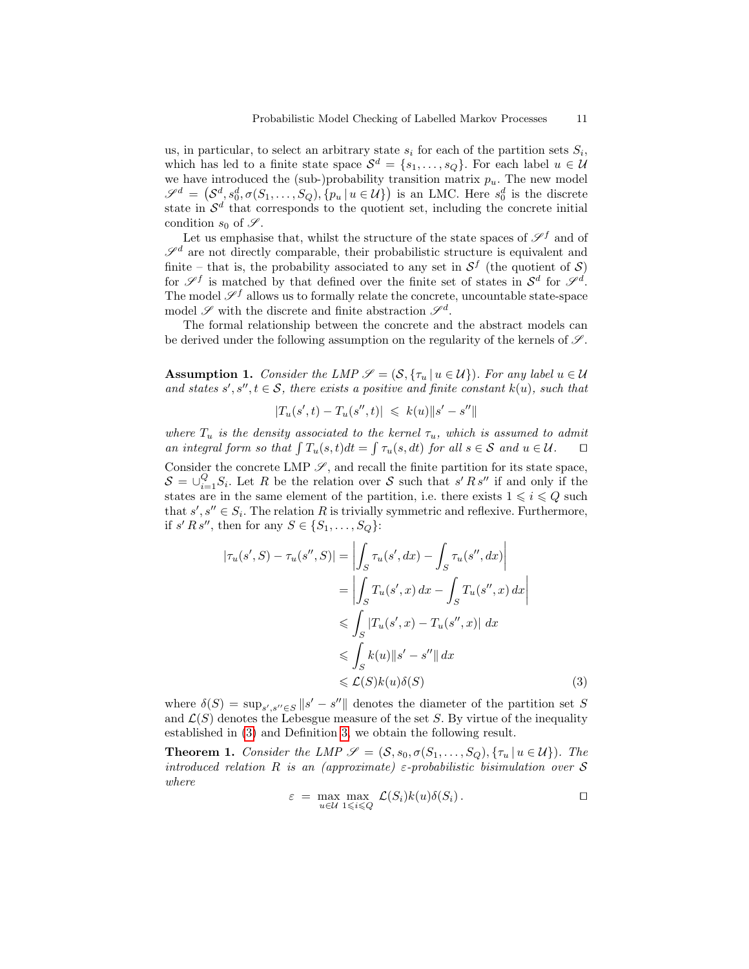us, in particular, to select an arbitrary state  $s_i$  for each of the partition sets  $S_i$ , which has led to a finite state space  $\mathcal{S}^d = \{s_1, \ldots, s_Q\}$ . For each label  $u \in \mathcal{U}$ we have introduced the (sub-)probability transition matrix  $p_u$ . The new model  $\mathscr{S}^d = (\mathcal{S}^d, s_0^d, \sigma(S_1, \ldots, S_Q), \{p_u | u \in \mathcal{U}\})$  is an LMC. Here  $s_0^d$  is the discrete state in  $\mathcal{S}^d$  that corresponds to the quotient set, including the concrete initial condition  $s_0$  of  $\mathscr{S}$ .

Let us emphasise that, whilst the structure of the state spaces of  $\mathscr{S}^f$  and of  $\mathscr{S}^d$  are not directly comparable, their probabilistic structure is equivalent and finite – that is, the probability associated to any set in  $S^f$  (the quotient of S) for  $\mathscr{S}^f$  is matched by that defined over the finite set of states in  $\mathcal{S}^d$  for  $\mathscr{S}^d$ . The model  $\mathscr{S}^f$  allows us to formally relate the concrete, uncountable state-space model  $\mathscr S$  with the discrete and finite abstraction  $\mathscr S^d$ .

<span id="page-10-1"></span>The formal relationship between the concrete and the abstract models can be derived under the following assumption on the regularity of the kernels of  $\mathscr{S}$ .

**Assumption 1.** Consider the LMP  $\mathscr{S} = (\mathcal{S}, {\tau_u | u \in \mathcal{U}})$ . For any label  $u \in \mathcal{U}$ and states s', s'',  $t \in S$ , there exists a positive and finite constant  $k(u)$ , such that

$$
|T_u(s',t) - T_u(s'',t)| \leq k(u) \|s' - s''\|
$$

where  $T_u$  is the density associated to the kernel  $\tau_u$ , which is assumed to admit an integral form so that  $\int T_u(s, t)dt = \int \tau_u(s, dt)$  for all  $s \in S$  and  $u \in U$ . Consider the concrete LMP  $\mathscr{S}$ , and recall the finite partition for its state space,  $S = \bigcup_{i=1}^{Q} S_i$ . Let R be the relation over S such that s'R s'' if and only if the states are in the same element of the partition, i.e. there exists  $1 \leq i \leq Q$  such that  $s', s'' \in S_i$ . The relation R is trivially symmetric and reflexive. Furthermore, if s' R s'', then for any  $S \in \{S_1, \ldots, S_Q\}$ :

$$
|\tau_u(s',S) - \tau_u(s'',S)| = \left| \int_S \tau_u(s',dx) - \int_S \tau_u(s'',dx) \right|
$$
  
\n
$$
= \left| \int_S T_u(s',x) dx - \int_S T_u(s'',x) dx \right|
$$
  
\n
$$
\leq \int_S |T_u(s',x) - T_u(s'',x)| dx
$$
  
\n
$$
\leq \int_S k(u) \|s' - s''\| dx
$$
  
\n
$$
\leq \mathcal{L}(S)k(u)\delta(S) \tag{3}
$$

where  $\delta(S) = \sup_{s',s'' \in S} ||s' - s''||$  denotes the diameter of the partition set S and  $\mathcal{L}(S)$  denotes the Lebesgue measure of the set S. By virtue of the inequality established in [\(3\)](#page-10-0) and Definition [3,](#page-7-1) we obtain the following result.

**Theorem 1.** Consider the LMP  $\mathscr{S} = (\mathcal{S}, s_0, \sigma(S_1, \ldots, S_Q), \{\tau_u | u \in \mathcal{U}\})$ . The introduced relation R is an (approximate)  $\varepsilon$ -probabilistic bisimulation over S where

<span id="page-10-2"></span><span id="page-10-0"></span>
$$
\varepsilon = \max_{u \in \mathcal{U}} \max_{1 \le i \le Q} \mathcal{L}(S_i) k(u) \delta(S_i).
$$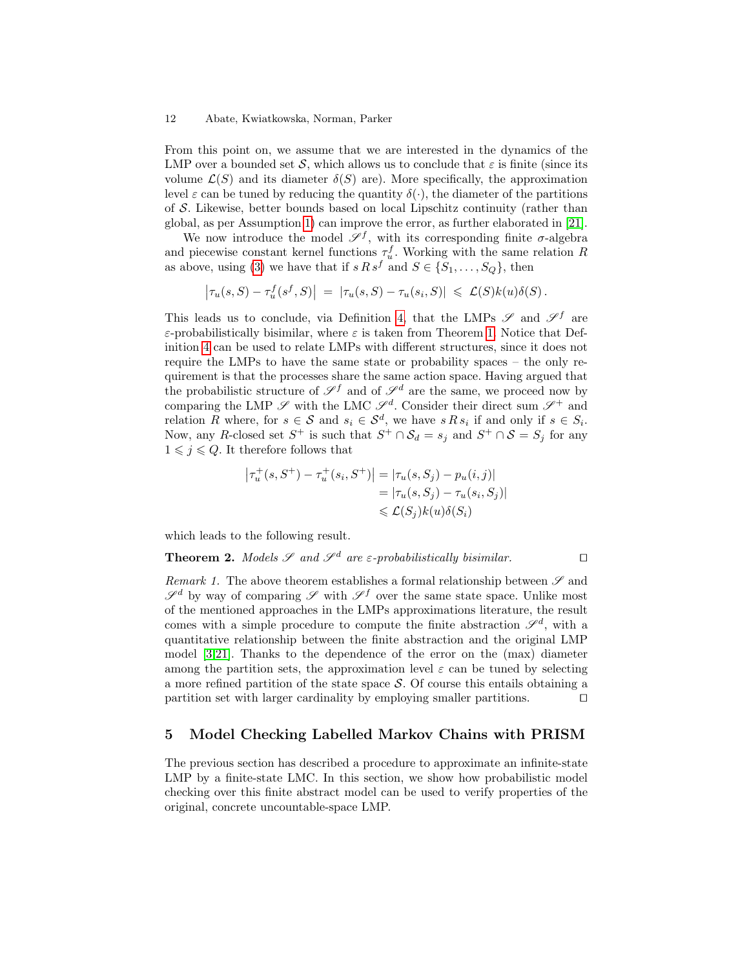From this point on, we assume that we are interested in the dynamics of the LMP over a bounded set S, which allows us to conclude that  $\varepsilon$  is finite (since its volume  $\mathcal{L}(S)$  and its diameter  $\delta(S)$  are). More specifically, the approximation level  $\varepsilon$  can be tuned by reducing the quantity  $\delta(\cdot)$ , the diameter of the partitions of S. Likewise, better bounds based on local Lipschitz continuity (rather than global, as per Assumption [1\)](#page-10-1) can improve the error, as further elaborated in [\[21\]](#page-17-13).

We now introduce the model  $\mathscr{S}^f$ , with its corresponding finite  $\sigma$ -algebra and piecewise constant kernel functions  $\tau_u^f$ . Working with the same relation R as above, using [\(3\)](#page-10-0) we have that if  $s R s^f$  and  $S \in \{S_1, \ldots, S_Q\}$ , then

$$
\left|\tau_u(s,S)-\tau_u^f(s^f,S)\right| \ = \ |\tau_u(s,S)-\tau_u(s_i,S)| \ \leqslant \ \mathcal{L}(S)k(u)\delta(S).
$$

This leads us to conclude, via Definition [4,](#page-7-2) that the LMPs  $\mathscr S$  and  $\mathscr S^f$  are ε-probabilistically bisimilar, where ε is taken from Theorem [1.](#page-10-2) Notice that Definition [4](#page-7-2) can be used to relate LMPs with different structures, since it does not require the LMPs to have the same state or probability spaces – the only requirement is that the processes share the same action space. Having argued that the probabilistic structure of  $\mathscr{S}^f$  and of  $\mathscr{S}^d$  are the same, we proceed now by comparing the LMP  $\mathscr S$  with the LMC  $\mathscr S^d$ . Consider their direct sum  $\mathscr S^+$  and relation R where, for  $s \in \mathcal{S}$  and  $s_i \in \mathcal{S}^d$ , we have  $s R s_i$  if and only if  $s \in S_i$ . Now, any R-closed set  $S^+$  is such that  $S^+ \cap \mathcal{S}_d = s_j$  and  $S^+ \cap \mathcal{S} = S_j$  for any  $1 \leq j \leq Q$ . It therefore follows that

$$
|\tau_u^+(s, S^+) - \tau_u^+(s_i, S^+)| = |\tau_u(s, S_j) - p_u(i, j)|
$$
  
=  $|\tau_u(s, S_j) - \tau_u(s_i, S_j)|$   
 $\leq \mathcal{L}(S_j)k(u)\delta(S_i)$ 

which leads to the following result.

**Theorem 2.** Models  $\mathscr S$  and  $\mathscr S^d$  are  $\varepsilon$ -probabilistically bisimilar.

Remark 1. The above theorem establishes a formal relationship between  $\mathscr S$  and  $\mathscr{S}^d$  by way of comparing  $\mathscr{S}$  with  $\mathscr{S}^f$  over the same state space. Unlike most of the mentioned approaches in the LMPs approximations literature, the result comes with a simple procedure to compute the finite abstraction  $\mathscr{S}^d$ , with a quantitative relationship between the finite abstraction and the original LMP model [\[3,](#page-16-2)[21\]](#page-17-13). Thanks to the dependence of the error on the (max) diameter among the partition sets, the approximation level  $\varepsilon$  can be tuned by selecting a more refined partition of the state space  $S$ . Of course this entails obtaining a partition set with larger cardinality by employing smaller partitions.  $\Box$ 

## <span id="page-11-0"></span>5 Model Checking Labelled Markov Chains with PRISM

The previous section has described a procedure to approximate an infinite-state LMP by a finite-state LMC. In this section, we show how probabilistic model checking over this finite abstract model can be used to verify properties of the original, concrete uncountable-space LMP.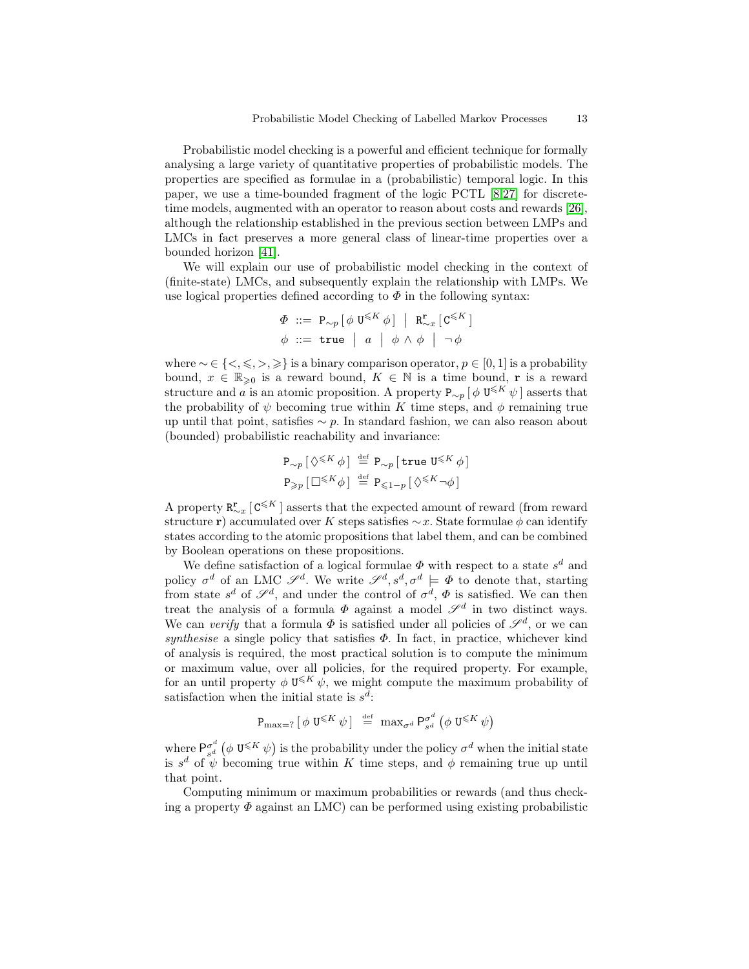Probabilistic model checking is a powerful and efficient technique for formally analysing a large variety of quantitative properties of probabilistic models. The properties are specified as formulae in a (probabilistic) temporal logic. In this paper, we use a time-bounded fragment of the logic PCTL [\[8](#page-16-7)[,27\]](#page-18-10) for discretetime models, augmented with an operator to reason about costs and rewards [\[26\]](#page-17-3), although the relationship established in the previous section between LMPs and LMCs in fact preserves a more general class of linear-time properties over a bounded horizon [\[41\]](#page-18-6).

We will explain our use of probabilistic model checking in the context of (finite-state) LMCs, and subsequently explain the relationship with LMPs. We use logical properties defined according to  $\Phi$  in the following syntax:

$$
\begin{array}{lcl}\n\varPhi & ::= & \mathtt{P}_{\sim p} \left[ \, \phi \, \mathbf{U}^{\leqslant K} \, \phi \, \right] & \mid \ \mathtt{R}^{\mathtt{r}}_{\sim x} \left[ \, \mathtt{C}^{\leqslant K} \, \right] \\
\phi & ::= & \mathtt{true} & \mid \ a \ \mid \ \phi \, \wedge \, \phi \ \mid \ \neg \, \phi\n\end{array}
$$

where  $\sim \in \{<,\leqslant,>,\geqslant\}$  is a binary comparison operator,  $p \in [0,1]$  is a probability bound,  $x \in \mathbb{R}_{\geq 0}$  is a reward bound,  $K \in \mathbb{N}$  is a time bound, r is a reward structure and a is an atomic proposition. A property  $P_{\sim p} [\phi \mathbf{U}^{\leqslant K} \psi]$  asserts that the probability of  $\psi$  becoming true within K time steps, and  $\phi$  remaining true up until that point, satisfies  $\sim p$ . In standard fashion, we can also reason about (bounded) probabilistic reachability and invariance:

$$
\begin{aligned} &\mathbf{P}_{\sim p} \left[ \lozenge^{\leq K} \phi \right] \stackrel{\text{def}}{=} \mathbf{P}_{\sim p} \left[ \text{true } \mathbf{U}^{\leq K} \phi \right] \\ &\mathbf{P}_{\geqslant p} \left[ \square^{\leqslant K} \phi \right] \stackrel{\text{def}}{=} \mathbf{P}_{\leqslant 1-p} \left[ \lozenge^{\leqslant K} \neg \phi \right] \end{aligned}
$$

A property  $R_{\sim x}^{\mathbf{r}}$  [C<sup>≤K</sup>] asserts that the expected amount of reward (from reward structure r) accumulated over K steps satisfies  $\sim x$ . State formulae  $\phi$  can identify states according to the atomic propositions that label them, and can be combined by Boolean operations on these propositions.

We define satisfaction of a logical formulae  $\Phi$  with respect to a state  $s^d$  and policy  $\sigma^d$  of an LMC  $\mathscr{S}^d$ . We write  $\mathscr{S}^d, s^d, \sigma^d \models \Phi$  to denote that, starting from state  $s^d$  of  $\mathscr{S}^d$ , and under the control of  $\sigma^d$ ,  $\Phi$  is satisfied. We can then treat the analysis of a formula  $\Phi$  against a model  $\mathscr{S}^d$  in two distinct ways. We can *verify* that a formula  $\Phi$  is satisfied under all policies of  $\mathscr{S}^d$ , or we can synthesise a single policy that satisfies  $\Phi$ . In fact, in practice, whichever kind of analysis is required, the most practical solution is to compute the minimum or maximum value, over all policies, for the required property. For example, for an until property  $\phi \mathbf{U}^{\leqslant K} \psi$ , we might compute the maximum probability of satisfaction when the initial state is  $s^d$ :

$$
\mathrm{P}_{\max=?}\left[\,\phi \,\, \mathrm{U}^{\leqslant K}\,\psi\,\right] \;\;\stackrel{\mathrm{def}}{=}\;\max_{\sigma^d} \mathrm{P}^{\sigma^d}_{s^d}\left(\phi \,\, \mathrm{U}^{\leqslant K}\,\psi\right)
$$

where  $P_{sd}^{\sigma^d}$  $\int_{s^d}^{\sigma^d} (\phi \, \mathrm{U}^{\leqslant K} \, \psi)$  is the probability under the policy  $\sigma^d$  when the initial state is  $s^d$  of  $\psi$  becoming true within K time steps, and  $\phi$  remaining true up until that point.

Computing minimum or maximum probabilities or rewards (and thus checking a property  $\Phi$  against an LMC) can be performed using existing probabilistic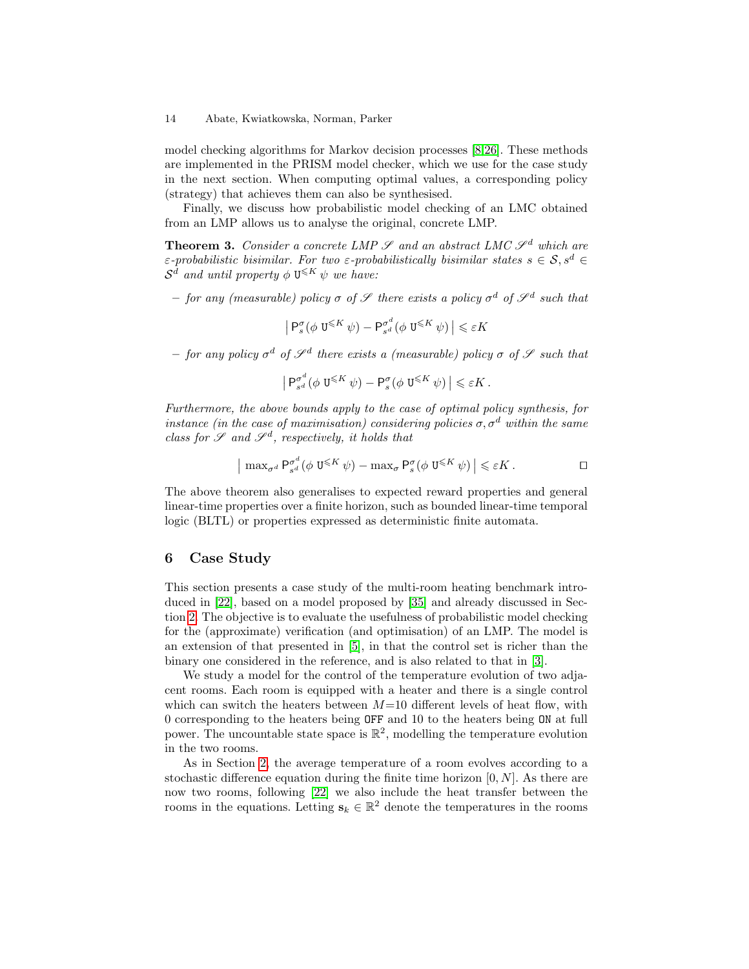model checking algorithms for Markov decision processes [\[8](#page-16-7)[,26\]](#page-17-3). These methods are implemented in the PRISM model checker, which we use for the case study in the next section. When computing optimal values, a corresponding policy (strategy) that achieves them can also be synthesised.

Finally, we discuss how probabilistic model checking of an LMC obtained from an LMP allows us to analyse the original, concrete LMP.

**Theorem 3.** Consider a concrete LMP  $\mathscr S$  and an abstract LMC  $\mathscr S^d$  which are  $\varepsilon$ -probabilistic bisimilar. For two  $\varepsilon$ -probabilistically bisimilar states  $s \in \mathcal{S}, s^d \in$  $\mathcal{S}^{\tilde{d}}$  and until property  $\phi \bigcup^{\leq K} \psi$  we have:

 $-$  for any (measurable) policy  $\sigma$  of  $\mathscr S$  there exists a policy  $\sigma^d$  of  $\mathscr S^d$  such that

$$
\left| \mathsf{P}_s^{\sigma}(\phi \mathsf{U}^{\leqslant K} \psi) - \mathsf{P}_{s^d}^{\sigma^d}(\phi \mathsf{U}^{\leqslant K} \psi) \right| \leqslant \varepsilon K
$$

 $-$  for any policy  $\sigma^d$  of  $\mathscr{S}^d$  there exists a (measurable) policy  $\sigma$  of  $\mathscr{S}$  such that

$$
\left| \mathsf{P}_{s^d}^{\sigma^d}(\phi \mathsf{U}^{\leqslant K} \psi) - \mathsf{P}_s^{\sigma}(\phi \mathsf{U}^{\leqslant K} \psi) \right| \leqslant \varepsilon K.
$$

Furthermore, the above bounds apply to the case of optimal policy synthesis, for instance (in the case of maximisation) considering policies  $\sigma, \sigma^d$  within the same class for  $\mathscr S$  and  $\mathscr S^d$ , respectively, it holds that

$$
|\max_{\sigma^d} \mathsf{P}^{\sigma^d}_{s^d}(\phi \mathsf{U}^{\leqslant K} \psi) - \max_{\sigma} \mathsf{P}^{\sigma}_s(\phi \mathsf{U}^{\leqslant K} \psi)| \leqslant \varepsilon K.
$$

The above theorem also generalises to expected reward properties and general linear-time properties over a finite horizon, such as bounded linear-time temporal logic (BLTL) or properties expressed as deterministic finite automata.

## <span id="page-13-0"></span>6 Case Study

This section presents a case study of the multi-room heating benchmark introduced in [\[22\]](#page-17-17), based on a model proposed by [\[35\]](#page-18-19) and already discussed in Section [2.](#page-2-0) The objective is to evaluate the usefulness of probabilistic model checking for the (approximate) verification (and optimisation) of an LMP. The model is an extension of that presented in [\[5\]](#page-16-5), in that the control set is richer than the binary one considered in the reference, and is also related to that in [\[3\]](#page-16-2).

We study a model for the control of the temperature evolution of two adjacent rooms. Each room is equipped with a heater and there is a single control which can switch the heaters between  $M=10$  different levels of heat flow, with 0 corresponding to the heaters being OFF and 10 to the heaters being ON at full power. The uncountable state space is  $\mathbb{R}^2$ , modelling the temperature evolution in the two rooms.

As in Section [2,](#page-2-0) the average temperature of a room evolves according to a stochastic difference equation during the finite time horizon  $[0, N]$ . As there are now two rooms, following [\[22\]](#page-17-17) we also include the heat transfer between the rooms in the equations. Letting  $s_k \in \mathbb{R}^2$  denote the temperatures in the rooms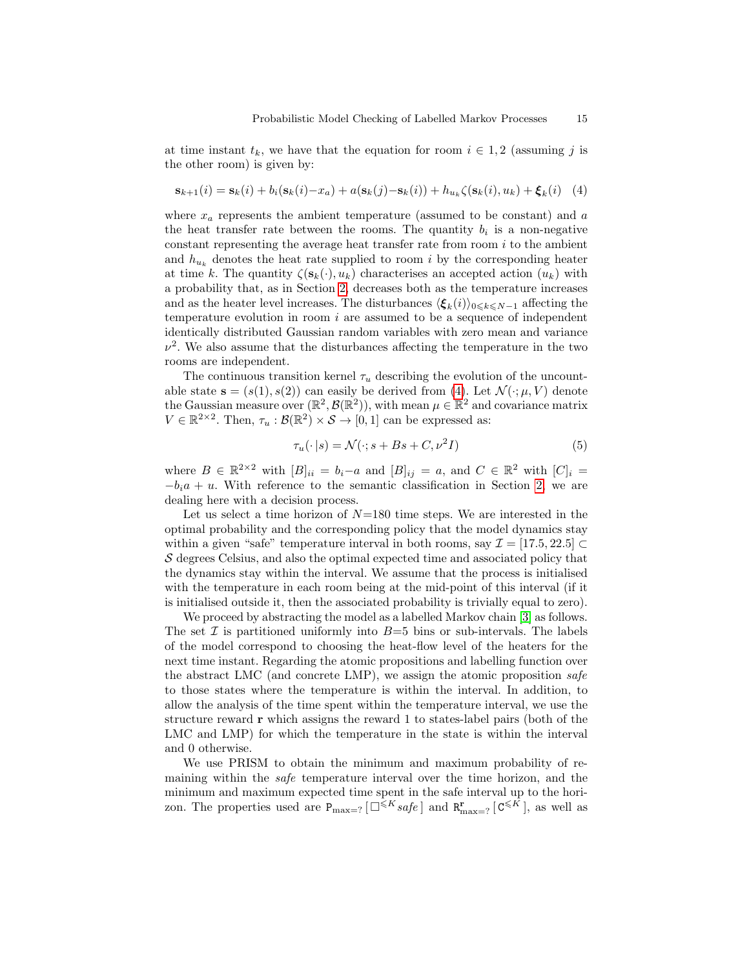at time instant  $t_k$ , we have that the equation for room  $i \in \{1, 2\}$  (assuming j is the other room) is given by:

$$
\mathbf{s}_{k+1}(i) = \mathbf{s}_k(i) + b_i(\mathbf{s}_k(i) - x_a) + a(\mathbf{s}_k(j) - \mathbf{s}_k(i)) + h_{u_k}\zeta(\mathbf{s}_k(i), u_k) + \xi_k(i) \quad (4)
$$

where  $x_a$  represents the ambient temperature (assumed to be constant) and a the heat transfer rate between the rooms. The quantity  $b_i$  is a non-negative constant representing the average heat transfer rate from room  $i$  to the ambient and  $h_{u_k}$  denotes the heat rate supplied to room i by the corresponding heater at time k. The quantity  $\zeta(\mathbf{s}_k(\cdot), u_k)$  characterises an accepted action  $(u_k)$  with a probability that, as in Section [2,](#page-2-0) decreases both as the temperature increases and as the heater level increases. The disturbances  $\langle \xi_k(i) \rangle_{0 \leq k \leq N-1}$  affecting the temperature evolution in room  $i$  are assumed to be a sequence of independent identically distributed Gaussian random variables with zero mean and variance  $\nu^2$ . We also assume that the disturbances affecting the temperature in the two rooms are independent.

The continuous transition kernel  $\tau_u$  describing the evolution of the uncountable state  $\mathbf{s} = (s(1), s(2))$  can easily be derived from [\(4\)](#page-14-0). Let  $\mathcal{N}(\cdot; \mu, V)$  denote the Gaussian measure over  $(\mathbb{R}^2, \mathcal{B}(\mathbb{R}^2))$ , with mean  $\mu \in \mathbb{R}^2$  and covariance matrix  $V \in \mathbb{R}^{2 \times 2}$ . Then,  $\tau_u : \mathcal{B}(\mathbb{R}^2) \times \mathcal{S} \to [0, 1]$  can be expressed as:

$$
\tau_u(\cdot | s) = \mathcal{N}(\cdot; s + Bs + C, \nu^2 I)
$$
\n<sup>(5)</sup>

where  $B \in \mathbb{R}^{2\times 2}$  with  $[B]_{ii} = b_i-a$  and  $[B]_{ij} = a$ , and  $C \in \mathbb{R}^2$  with  $[C]_i =$  $-b_ia + u$ . With reference to the semantic classification in Section [2,](#page-2-0) we are dealing here with a decision process.

Let us select a time horizon of  $N=180$  time steps. We are interested in the optimal probability and the corresponding policy that the model dynamics stay within a given "safe" temperature interval in both rooms, say  $\mathcal{I} = [17.5, 22.5] \subset$ S degrees Celsius, and also the optimal expected time and associated policy that the dynamics stay within the interval. We assume that the process is initialised with the temperature in each room being at the mid-point of this interval (if it is initialised outside it, then the associated probability is trivially equal to zero).

We proceed by abstracting the model as a labelled Markov chain [\[3\]](#page-16-2) as follows. The set  $\mathcal I$  is partitioned uniformly into  $B=5$  bins or sub-intervals. The labels of the model correspond to choosing the heat-flow level of the heaters for the next time instant. Regarding the atomic propositions and labelling function over the abstract LMC (and concrete LMP), we assign the atomic proposition safe to those states where the temperature is within the interval. In addition, to allow the analysis of the time spent within the temperature interval, we use the structure reward r which assigns the reward 1 to states-label pairs (both of the LMC and LMP) for which the temperature in the state is within the interval and 0 otherwise.

We use PRISM to obtain the minimum and maximum probability of remaining within the safe temperature interval over the time horizon, and the minimum and maximum expected time spent in the safe interval up to the horizon. The properties used are  $P_{\text{max}=?} [\Box^{\leqslant K} saf e]$  and  $R_{\text{max}=?}^{\mathbf{r}} [\mathbf{C}^{\leqslant \vec{K}}]$ , as well as

<span id="page-14-0"></span>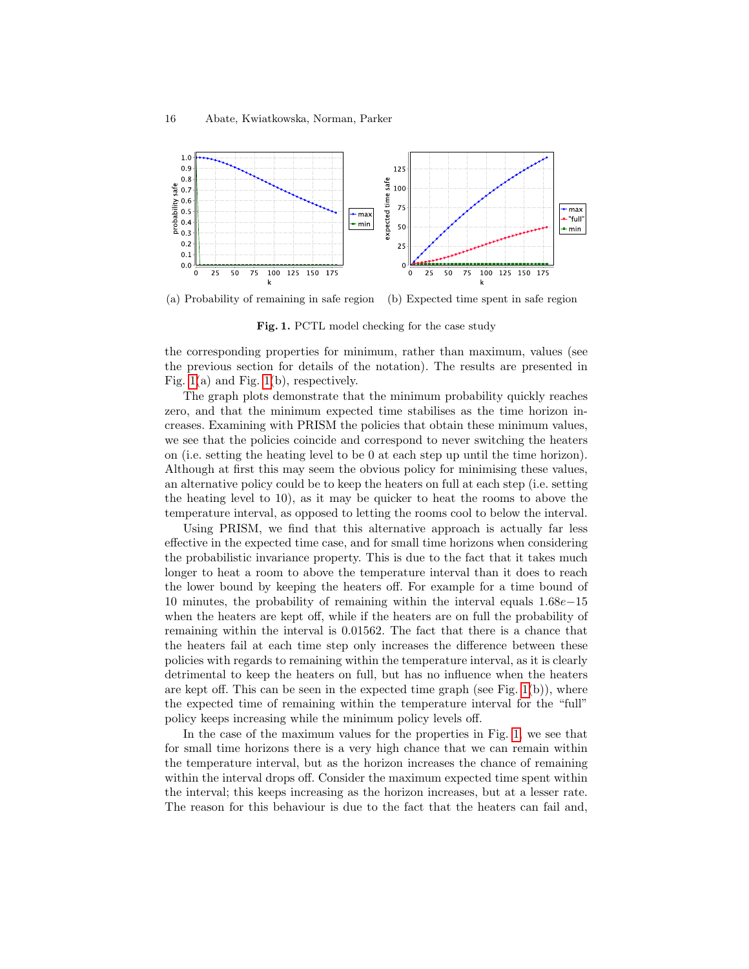

(a) Probability of remaining in safe region (b) Expected time spent in safe region

<span id="page-15-0"></span>Fig. 1. PCTL model checking for the case study

the corresponding properties for minimum, rather than maximum, values (see the previous section for details of the notation). The results are presented in Fig.  $1(a)$  and Fig.  $1(b)$ , respectively.

The graph plots demonstrate that the minimum probability quickly reaches zero, and that the minimum expected time stabilises as the time horizon increases. Examining with PRISM the policies that obtain these minimum values, we see that the policies coincide and correspond to never switching the heaters on (i.e. setting the heating level to be 0 at each step up until the time horizon). Although at first this may seem the obvious policy for minimising these values, an alternative policy could be to keep the heaters on full at each step (i.e. setting the heating level to 10), as it may be quicker to heat the rooms to above the temperature interval, as opposed to letting the rooms cool to below the interval.

Using PRISM, we find that this alternative approach is actually far less effective in the expected time case, and for small time horizons when considering the probabilistic invariance property. This is due to the fact that it takes much longer to heat a room to above the temperature interval than it does to reach the lower bound by keeping the heaters off. For example for a time bound of 10 minutes, the probability of remaining within the interval equals 1.68e−15 when the heaters are kept off, while if the heaters are on full the probability of remaining within the interval is 0.01562. The fact that there is a chance that the heaters fail at each time step only increases the difference between these policies with regards to remaining within the temperature interval, as it is clearly detrimental to keep the heaters on full, but has no influence when the heaters are kept off. This can be seen in the expected time graph (see Fig.  $1(b)$ ), where the expected time of remaining within the temperature interval for the "full" policy keeps increasing while the minimum policy levels off.

In the case of the maximum values for the properties in Fig. [1,](#page-15-0) we see that for small time horizons there is a very high chance that we can remain within the temperature interval, but as the horizon increases the chance of remaining within the interval drops off. Consider the maximum expected time spent within the interval; this keeps increasing as the horizon increases, but at a lesser rate. The reason for this behaviour is due to the fact that the heaters can fail and,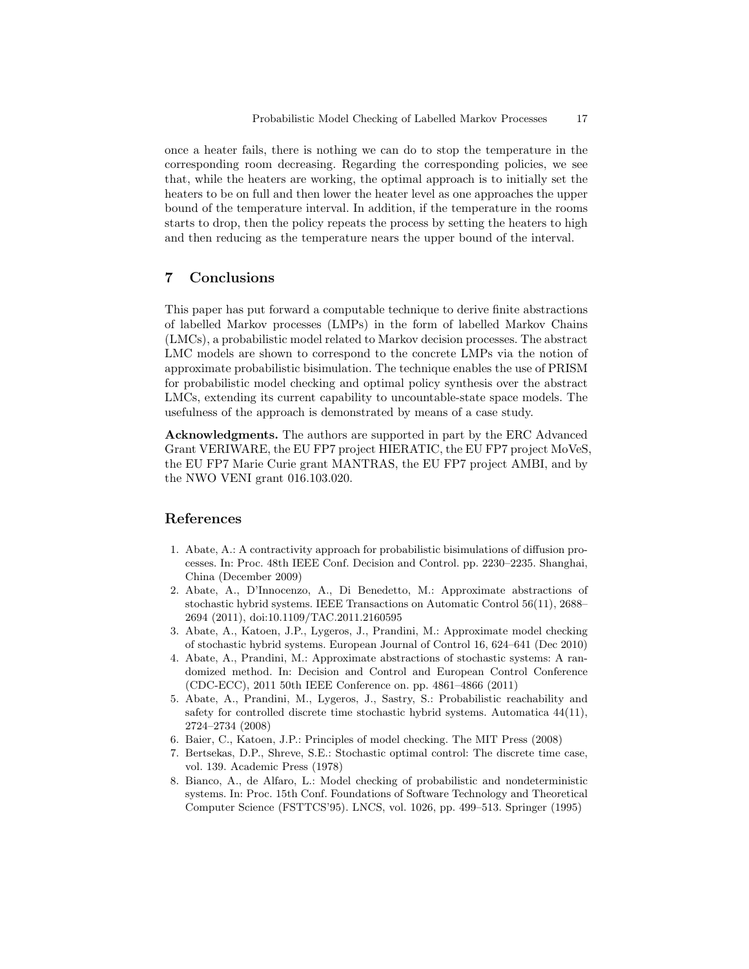once a heater fails, there is nothing we can do to stop the temperature in the corresponding room decreasing. Regarding the corresponding policies, we see that, while the heaters are working, the optimal approach is to initially set the heaters to be on full and then lower the heater level as one approaches the upper bound of the temperature interval. In addition, if the temperature in the rooms starts to drop, then the policy repeats the process by setting the heaters to high and then reducing as the temperature nears the upper bound of the interval.

# 7 Conclusions

This paper has put forward a computable technique to derive finite abstractions of labelled Markov processes (LMPs) in the form of labelled Markov Chains (LMCs), a probabilistic model related to Markov decision processes. The abstract LMC models are shown to correspond to the concrete LMPs via the notion of approximate probabilistic bisimulation. The technique enables the use of PRISM for probabilistic model checking and optimal policy synthesis over the abstract LMCs, extending its current capability to uncountable-state space models. The usefulness of the approach is demonstrated by means of a case study.

Acknowledgments. The authors are supported in part by the ERC Advanced Grant VERIWARE, the EU FP7 project HIERATIC, the EU FP7 project MoVeS, the EU FP7 Marie Curie grant MANTRAS, the EU FP7 project AMBI, and by the NWO VENI grant 016.103.020.

## References

- <span id="page-16-3"></span>1. Abate, A.: A contractivity approach for probabilistic bisimulations of diffusion processes. In: Proc. 48th IEEE Conf. Decision and Control. pp. 2230–2235. Shanghai, China (December 2009)
- <span id="page-16-1"></span>2. Abate, A., D'Innocenzo, A., Di Benedetto, M.: Approximate abstractions of stochastic hybrid systems. IEEE Transactions on Automatic Control 56(11), 2688– 2694 (2011), doi:10.1109/TAC.2011.2160595
- <span id="page-16-2"></span>3. Abate, A., Katoen, J.P., Lygeros, J., Prandini, M.: Approximate model checking of stochastic hybrid systems. European Journal of Control 16, 624–641 (Dec 2010)
- <span id="page-16-4"></span>4. Abate, A., Prandini, M.: Approximate abstractions of stochastic systems: A randomized method. In: Decision and Control and European Control Conference (CDC-ECC), 2011 50th IEEE Conference on. pp. 4861–4866 (2011)
- <span id="page-16-5"></span>5. Abate, A., Prandini, M., Lygeros, J., Sastry, S.: Probabilistic reachability and safety for controlled discrete time stochastic hybrid systems. Automatica 44(11), 2724–2734 (2008)
- <span id="page-16-6"></span>6. Baier, C., Katoen, J.P.: Principles of model checking. The MIT Press (2008)
- <span id="page-16-0"></span>7. Bertsekas, D.P., Shreve, S.E.: Stochastic optimal control: The discrete time case, vol. 139. Academic Press (1978)
- <span id="page-16-7"></span>8. Bianco, A., de Alfaro, L.: Model checking of probabilistic and nondeterministic systems. In: Proc. 15th Conf. Foundations of Software Technology and Theoretical Computer Science (FSTTCS'95). LNCS, vol. 1026, pp. 499–513. Springer (1995)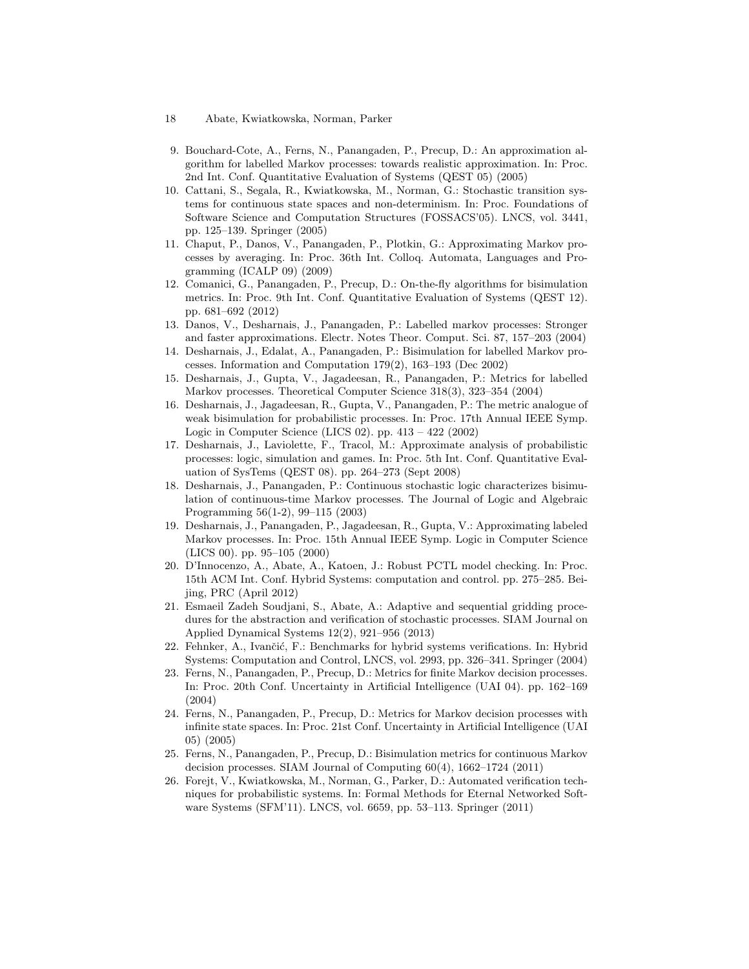- 18 Abate, Kwiatkowska, Norman, Parker
- <span id="page-17-14"></span>9. Bouchard-Cote, A., Ferns, N., Panangaden, P., Precup, D.: An approximation algorithm for labelled Markov processes: towards realistic approximation. In: Proc. 2nd Int. Conf. Quantitative Evaluation of Systems (QEST 05) (2005)
- <span id="page-17-15"></span>10. Cattani, S., Segala, R., Kwiatkowska, M., Norman, G.: Stochastic transition systems for continuous state spaces and non-determinism. In: Proc. Foundations of Software Science and Computation Structures (FOSSACS'05). LNCS, vol. 3441, pp. 125–139. Springer (2005)
- <span id="page-17-11"></span>11. Chaput, P., Danos, V., Panangaden, P., Plotkin, G.: Approximating Markov processes by averaging. In: Proc. 36th Int. Colloq. Automata, Languages and Programming (ICALP 09) (2009)
- <span id="page-17-9"></span>12. Comanici, G., Panangaden, P., Precup, D.: On-the-fly algorithms for bisimulation metrics. In: Proc. 9th Int. Conf. Quantitative Evaluation of Systems (QEST 12). pp. 681–692 (2012)
- <span id="page-17-10"></span>13. Danos, V., Desharnais, J., Panangaden, P.: Labelled markov processes: Stronger and faster approximations. Electr. Notes Theor. Comput. Sci. 87, 157–203 (2004)
- <span id="page-17-0"></span>14. Desharnais, J., Edalat, A., Panangaden, P.: Bisimulation for labelled Markov processes. Information and Computation 179(2), 163–193 (Dec 2002)
- <span id="page-17-1"></span>15. Desharnais, J., Gupta, V., Jagadeesan, R., Panangaden, P.: Metrics for labelled Markov processes. Theoretical Computer Science 318(3), 323–354 (2004)
- <span id="page-17-5"></span>16. Desharnais, J., Jagadeesan, R., Gupta, V., Panangaden, P.: The metric analogue of weak bisimulation for probabilistic processes. In: Proc. 17th Annual IEEE Symp. Logic in Computer Science (LICS 02). pp. 413 – 422 (2002)
- <span id="page-17-4"></span>17. Desharnais, J., Laviolette, F., Tracol, M.: Approximate analysis of probabilistic processes: logic, simulation and games. In: Proc. 5th Int. Conf. Quantitative Evaluation of SysTems (QEST 08). pp. 264–273 (Sept 2008)
- <span id="page-17-12"></span>18. Desharnais, J., Panangaden, P.: Continuous stochastic logic characterizes bisimulation of continuous-time Markov processes. The Journal of Logic and Algebraic Programming 56(1-2), 99–115 (2003)
- <span id="page-17-2"></span>19. Desharnais, J., Panangaden, P., Jagadeesan, R., Gupta, V.: Approximating labeled Markov processes. In: Proc. 15th Annual IEEE Symp. Logic in Computer Science (LICS 00). pp. 95–105 (2000)
- <span id="page-17-16"></span>20. D'Innocenzo, A., Abate, A., Katoen, J.: Robust PCTL model checking. In: Proc. 15th ACM Int. Conf. Hybrid Systems: computation and control. pp. 275–285. Beijing, PRC (April 2012)
- <span id="page-17-13"></span>21. Esmaeil Zadeh Soudjani, S., Abate, A.: Adaptive and sequential gridding procedures for the abstraction and verification of stochastic processes. SIAM Journal on Applied Dynamical Systems 12(2), 921–956 (2013)
- <span id="page-17-17"></span>22. Fehnker, A., Ivančić, F.: Benchmarks for hybrid systems verifications. In: Hybrid Systems: Computation and Control, LNCS, vol. 2993, pp. 326–341. Springer (2004)
- <span id="page-17-6"></span>23. Ferns, N., Panangaden, P., Precup, D.: Metrics for finite Markov decision processes. In: Proc. 20th Conf. Uncertainty in Artificial Intelligence (UAI 04). pp. 162–169 (2004)
- <span id="page-17-7"></span>24. Ferns, N., Panangaden, P., Precup, D.: Metrics for Markov decision processes with infinite state spaces. In: Proc. 21st Conf. Uncertainty in Artificial Intelligence (UAI 05) (2005)
- <span id="page-17-8"></span>25. Ferns, N., Panangaden, P., Precup, D.: Bisimulation metrics for continuous Markov decision processes. SIAM Journal of Computing 60(4), 1662–1724 (2011)
- <span id="page-17-3"></span>26. Forejt, V., Kwiatkowska, M., Norman, G., Parker, D.: Automated verification techniques for probabilistic systems. In: Formal Methods for Eternal Networked Software Systems (SFM'11). LNCS, vol. 6659, pp. 53–113. Springer (2011)